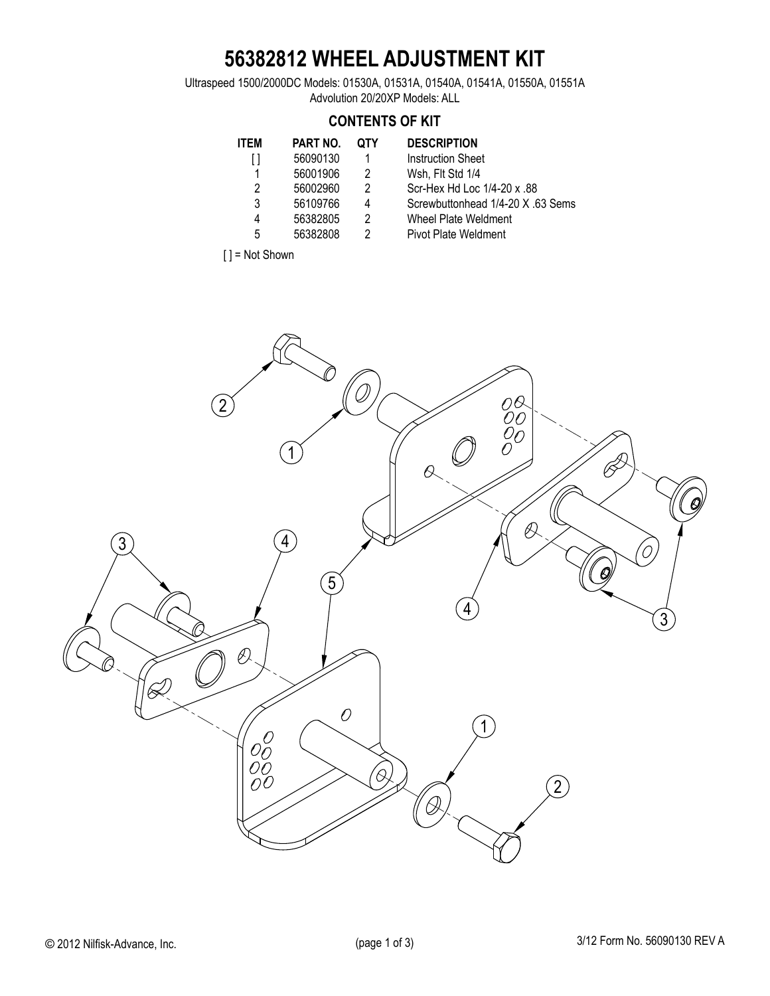## **56382812 WHEEL ADJUSTMENT KIT**

Ultraspeed 1500/2000DC Models: 01530A, 01531A, 01540A, 01541A, 01550A, 01551A Advolution 20/20XP Models: ALL

#### **CONTENTS OF KIT**

| <b>ITEM</b>    | PART NO. | <b>QTY</b>     | <b>DESCRIPTION</b>      |
|----------------|----------|----------------|-------------------------|
| ſ1             | 56090130 | 1              | <b>Instruction Shee</b> |
| 1              | 56001906 | 2              | Wsh, Flt Std 1/4        |
| $\mathfrak{p}$ | 56002960 | $\mathfrak{p}$ | Scr-Hex Hd Loc          |
| 3              | 56109766 | 4              | Screwbuttonhea          |
| 4              | 56382805 | 2              | Wheel Plate We          |
| 5              | 56382808 | 2              | Pivot Plate Weld        |
|                |          |                |                         |

- Instruction Sheet
	- Wsh, Flt Std 1/4
- Scr-Hex Hd Loc 1/4-20 x .88
- Screwbuttonhead 1/4-20 X .63 Sems
- Wheel Plate Weldment
- Pivot Plate Weldment



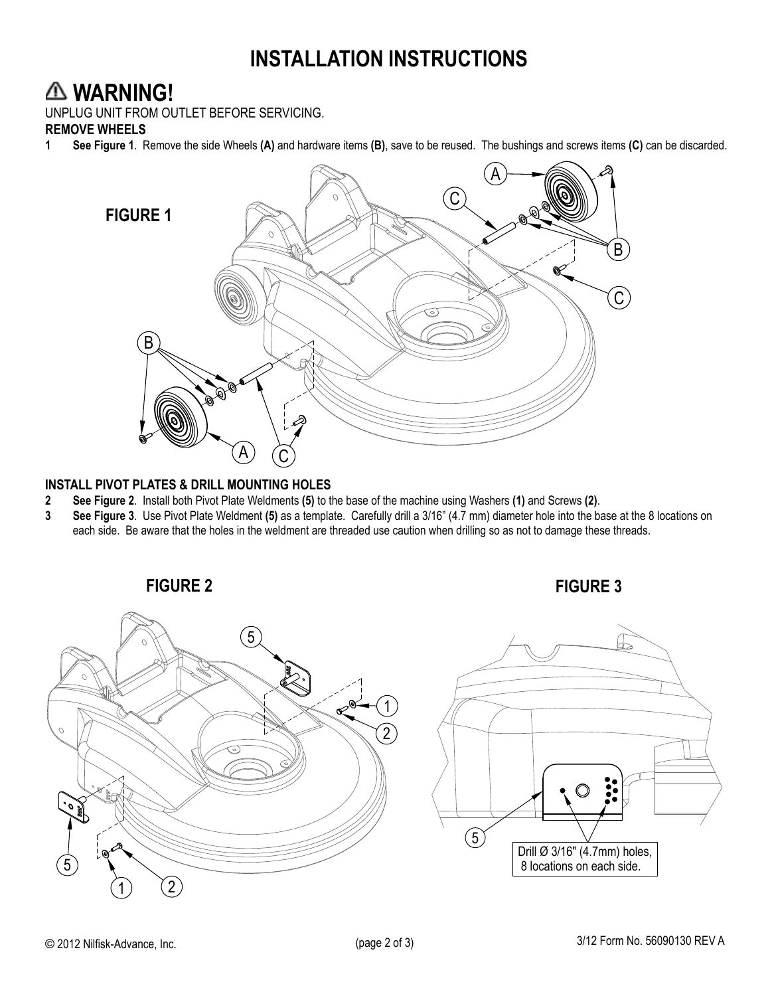## **INSTALLATION INSTRUCTIONS**

#### **WARNING!**

UNPLUG UNIT FROM OUTLET BEFORE SERVICING.

#### **REMOVE WHEELS**<br>1 See Figure 1. R

**1 See Figure 1**. Remove the side Wheels **(A)** and hardware items **(B)**, save to be reused.The bushings and screws items **(C)** can be discarded.



# **INSTALL PIVOT PLATES & DRILL MOUNTING HOLES**

- **2 See Figure 2**. Install both Pivot Plate Weldments **(5)** to the base of the machine using Washers **(1)** and Screws **(2)**.
- **3 See Figure 3**. Use Pivot Plate Weldment **(5)** as a template. Carefully drill a 3/16" (4.7 mm) diameter hole into the base at the 8 locations on each side. Be aware that the holes in the weldment are threaded use caution when drilling so as not to damage these threads.

**FIGURE 2 FIGURE 3**